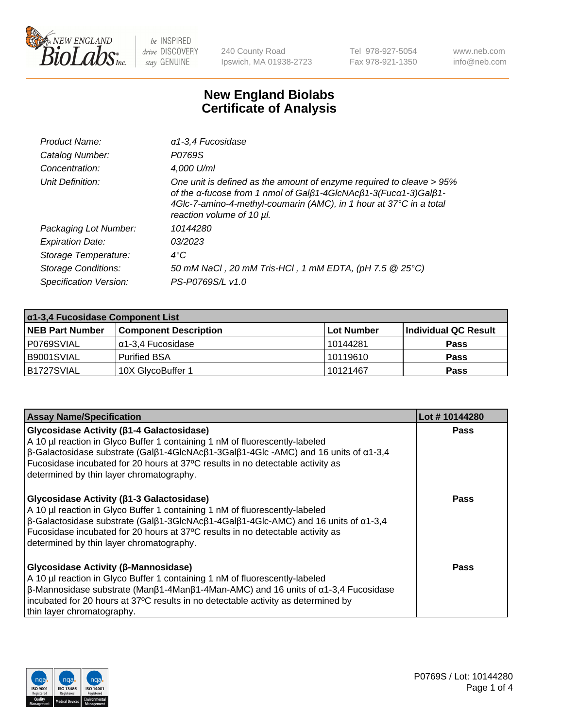

240 County Road Ipswich, MA 01938-2723 Tel 978-927-5054 Fax 978-921-1350 www.neb.com info@neb.com

## **New England Biolabs Certificate of Analysis**

| Product Name:              | $\alpha$ 1-3,4 Fucosidase                                                                                                                                                                                                                  |
|----------------------------|--------------------------------------------------------------------------------------------------------------------------------------------------------------------------------------------------------------------------------------------|
| Catalog Number:            | P0769S                                                                                                                                                                                                                                     |
| Concentration:             | 4,000 U/ml                                                                                                                                                                                                                                 |
| Unit Definition:           | One unit is defined as the amount of enzyme required to cleave > 95%<br>of the a-fucose from 1 nmol of Galß1-4GIcNAcß1-3(Fuca1-3)Galß1-<br>4Glc-7-amino-4-methyl-coumarin (AMC), in 1 hour at 37°C in a total<br>reaction volume of 10 µl. |
| Packaging Lot Number:      | 10144280                                                                                                                                                                                                                                   |
| <b>Expiration Date:</b>    | 03/2023                                                                                                                                                                                                                                    |
| Storage Temperature:       | $4^{\circ}$ C                                                                                                                                                                                                                              |
| <b>Storage Conditions:</b> | 50 mM NaCl, 20 mM Tris-HCl, 1 mM EDTA, (pH 7.5 @ 25°C)                                                                                                                                                                                     |
| Specification Version:     | PS-P0769S/L v1.0                                                                                                                                                                                                                           |

| $\alpha$ 1-3,4 Fucosidase Component List |                              |                   |                      |  |
|------------------------------------------|------------------------------|-------------------|----------------------|--|
| <b>NEB Part Number</b>                   | <b>Component Description</b> | <b>Lot Number</b> | Individual QC Result |  |
| I P0769SVIAL                             | Iα1-3.4 Fucosidase           | l 10144281        | <b>Pass</b>          |  |
| I B9001SVIAL                             | <b>Purified BSA</b>          | 10119610          | <b>Pass</b>          |  |
| B1727SVIAL                               | 10X GlycoBuffer 1            | 10121467          | <b>Pass</b>          |  |

| <b>Assay Name/Specification</b>                                                                                                                                                                                                                                                                                                                                                     | Lot #10144280 |
|-------------------------------------------------------------------------------------------------------------------------------------------------------------------------------------------------------------------------------------------------------------------------------------------------------------------------------------------------------------------------------------|---------------|
| Glycosidase Activity (β1-4 Galactosidase)<br>A 10 µl reaction in Glyco Buffer 1 containing 1 nM of fluorescently-labeled<br>$\beta$ -Galactosidase substrate (Galβ1-4GlcNAcβ1-3Galβ1-4Glc -AMC) and 16 units of α1-3,4<br>Fucosidase incubated for 20 hours at 37°C results in no detectable activity as<br>determined by thin layer chromatography.                                | <b>Pass</b>   |
| Glycosidase Activity (β1-3 Galactosidase)<br>A 10 µl reaction in Glyco Buffer 1 containing 1 nM of fluorescently-labeled<br>$\beta$ -Galactosidase substrate (Gal $\beta$ 1-3GlcNAc $\beta$ 1-4Gal $\beta$ 1-4Glc-AMC) and 16 units of $\alpha$ 1-3,4<br>Fucosidase incubated for 20 hours at 37°C results in no detectable activity as<br>determined by thin layer chromatography. | Pass          |
| Glycosidase Activity (β-Mannosidase)<br>A 10 µl reaction in Glyco Buffer 1 containing 1 nM of fluorescently-labeled<br>$\beta$ -Mannosidase substrate (Man $\beta$ 1-4Man $\beta$ 1-4Man-AMC) and 16 units of $\alpha$ 1-3,4 Fucosidase<br>incubated for 20 hours at 37°C results in no detectable activity as determined by<br>thin layer chromatography.                          | <b>Pass</b>   |

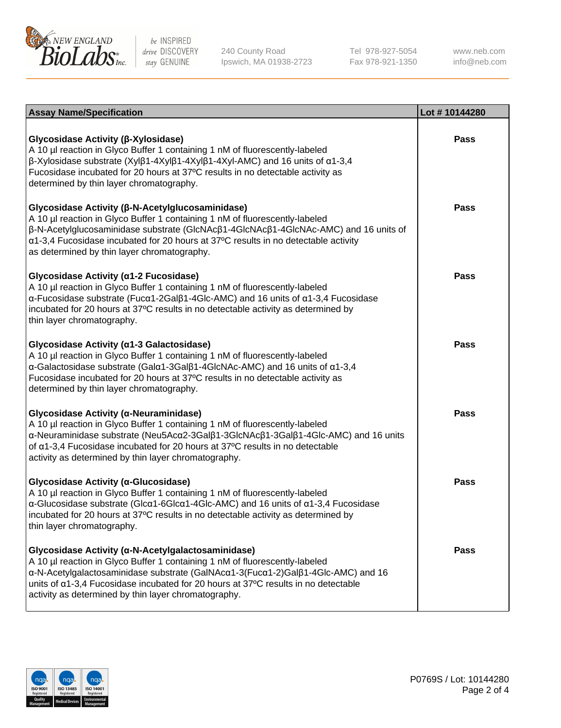

240 County Road Ipswich, MA 01938-2723 Tel 978-927-5054 Fax 978-921-1350

www.neb.com info@neb.com

| <b>Assay Name/Specification</b>                                                                                                                                                                                                                                                                                                                                      | Lot #10144280 |
|----------------------------------------------------------------------------------------------------------------------------------------------------------------------------------------------------------------------------------------------------------------------------------------------------------------------------------------------------------------------|---------------|
| Glycosidase Activity (β-Xylosidase)<br>A 10 µl reaction in Glyco Buffer 1 containing 1 nM of fluorescently-labeled<br>β-Xylosidase substrate (Xylβ1-4Xylβ1-4Xylβ1-4Xyl-AMC) and 16 units of α1-3,4<br>Fucosidase incubated for 20 hours at 37°C results in no detectable activity as<br>determined by thin layer chromatography.                                     | Pass          |
| Glycosidase Activity (β-N-Acetylglucosaminidase)<br>A 10 µl reaction in Glyco Buffer 1 containing 1 nM of fluorescently-labeled<br>β-N-Acetylglucosaminidase substrate (GlcNAcβ1-4GlcNAcβ1-4GlcNAc-AMC) and 16 units of<br>$\alpha$ 1-3,4 Fucosidase incubated for 20 hours at 37°C results in no detectable activity<br>as determined by thin layer chromatography. | Pass          |
| Glycosidase Activity (α1-2 Fucosidase)<br>A 10 µl reaction in Glyco Buffer 1 containing 1 nM of fluorescently-labeled<br>$\alpha$ -Fucosidase substrate (Fuc $\alpha$ 1-2Gal $\beta$ 1-4Glc-AMC) and 16 units of $\alpha$ 1-3,4 Fucosidase<br>incubated for 20 hours at 37°C results in no detectable activity as determined by<br>thin layer chromatography.        | <b>Pass</b>   |
| Glycosidase Activity (a1-3 Galactosidase)<br>A 10 µl reaction in Glyco Buffer 1 containing 1 nM of fluorescently-labeled<br>α-Galactosidase substrate (Galα1-3Galβ1-4GlcNAc-AMC) and 16 units of α1-3,4<br>Fucosidase incubated for 20 hours at 37°C results in no detectable activity as<br>determined by thin layer chromatography.                                | <b>Pass</b>   |
| Glycosidase Activity (α-Neuraminidase)<br>A 10 µl reaction in Glyco Buffer 1 containing 1 nM of fluorescently-labeled<br>α-Neuraminidase substrate (Neu5Acα2-3Galβ1-3GlcNAcβ1-3Galβ1-4Glc-AMC) and 16 units<br>of a1-3,4 Fucosidase incubated for 20 hours at 37°C results in no detectable<br>activity as determined by thin layer chromatography.                  | <b>Pass</b>   |
| Glycosidase Activity (α-Glucosidase)<br>A 10 µl reaction in Glyco Buffer 1 containing 1 nM of fluorescently-labeled<br>$\alpha$ -Glucosidase substrate (Glc $\alpha$ 1-6Glc $\alpha$ 1-4Glc-AMC) and 16 units of $\alpha$ 1-3,4 Fucosidase<br>incubated for 20 hours at 37°C results in no detectable activity as determined by<br>thin layer chromatography.        | <b>Pass</b>   |
| Glycosidase Activity (α-N-Acetylgalactosaminidase)<br>A 10 µl reaction in Glyco Buffer 1 containing 1 nM of fluorescently-labeled<br>α-N-Acetylgalactosaminidase substrate (GalNAcα1-3(Fucα1-2)Galβ1-4Glc-AMC) and 16<br>units of a1-3,4 Fucosidase incubated for 20 hours at 37°C results in no detectable<br>activity as determined by thin layer chromatography.  | Pass          |

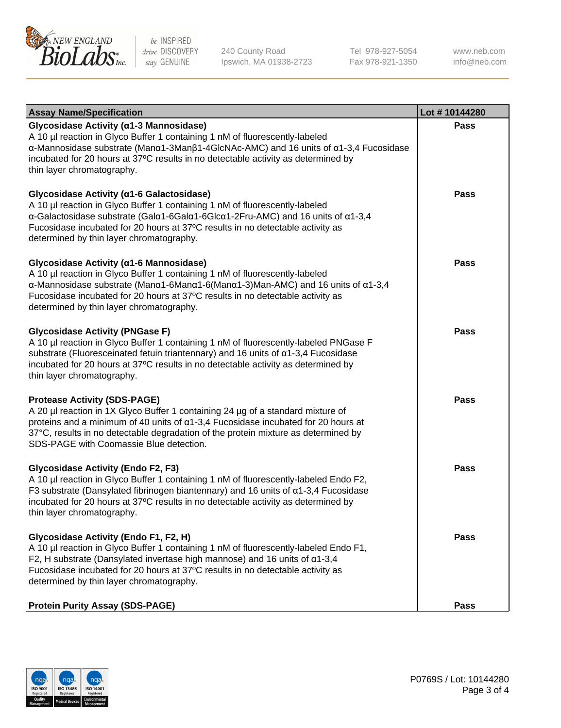

240 County Road Ipswich, MA 01938-2723 Tel 978-927-5054 Fax 978-921-1350 www.neb.com info@neb.com

| <b>Assay Name/Specification</b>                                                                                                                                                                                                                                                                                                                                                    | Lot #10144280 |
|------------------------------------------------------------------------------------------------------------------------------------------------------------------------------------------------------------------------------------------------------------------------------------------------------------------------------------------------------------------------------------|---------------|
| Glycosidase Activity (α1-3 Mannosidase)<br>A 10 µl reaction in Glyco Buffer 1 containing 1 nM of fluorescently-labeled<br>α-Mannosidase substrate (Manα1-3Manβ1-4GlcNAc-AMC) and 16 units of α1-3,4 Fucosidase<br>incubated for 20 hours at 37°C results in no detectable activity as determined by<br>thin layer chromatography.                                                  | <b>Pass</b>   |
| Glycosidase Activity (α1-6 Galactosidase)<br>A 10 µl reaction in Glyco Buffer 1 containing 1 nM of fluorescently-labeled<br>α-Galactosidase substrate (Galα1-6Galα1-6Glcα1-2Fru-AMC) and 16 units of α1-3,4<br>Fucosidase incubated for 20 hours at 37°C results in no detectable activity as<br>determined by thin layer chromatography.                                          | <b>Pass</b>   |
| Glycosidase Activity (α1-6 Mannosidase)<br>A 10 µl reaction in Glyco Buffer 1 containing 1 nM of fluorescently-labeled<br>$\alpha$ -Mannosidase substrate (Man $\alpha$ 1-6Man $\alpha$ 1-6(Man $\alpha$ 1-3)Man-AMC) and 16 units of $\alpha$ 1-3,4<br>Fucosidase incubated for 20 hours at 37°C results in no detectable activity as<br>determined by thin layer chromatography. | <b>Pass</b>   |
| <b>Glycosidase Activity (PNGase F)</b><br>A 10 µl reaction in Glyco Buffer 1 containing 1 nM of fluorescently-labeled PNGase F<br>substrate (Fluoresceinated fetuin triantennary) and 16 units of $\alpha$ 1-3,4 Fucosidase<br>incubated for 20 hours at 37°C results in no detectable activity as determined by<br>thin layer chromatography.                                     | <b>Pass</b>   |
| <b>Protease Activity (SDS-PAGE)</b><br>A 20 µl reaction in 1X Glyco Buffer 1 containing 24 µg of a standard mixture of<br>proteins and a minimum of 40 units of $\alpha$ 1-3,4 Fucosidase incubated for 20 hours at<br>37°C, results in no detectable degradation of the protein mixture as determined by<br>SDS-PAGE with Coomassie Blue detection.                               | <b>Pass</b>   |
| <b>Glycosidase Activity (Endo F2, F3)</b><br>A 10 µl reaction in Glyco Buffer 1 containing 1 nM of fluorescently-labeled Endo F2,<br>F3 substrate (Dansylated fibrinogen biantennary) and 16 units of $\alpha$ 1-3,4 Fucosidase<br>incubated for 20 hours at 37°C results in no detectable activity as determined by<br>thin layer chromatography.                                 | <b>Pass</b>   |
| Glycosidase Activity (Endo F1, F2, H)<br>A 10 µl reaction in Glyco Buffer 1 containing 1 nM of fluorescently-labeled Endo F1,<br>F2, H substrate (Dansylated invertase high mannose) and 16 units of $\alpha$ 1-3,4<br>Fucosidase incubated for 20 hours at 37°C results in no detectable activity as<br>determined by thin layer chromatography.                                  | Pass          |
| <b>Protein Purity Assay (SDS-PAGE)</b>                                                                                                                                                                                                                                                                                                                                             | <b>Pass</b>   |